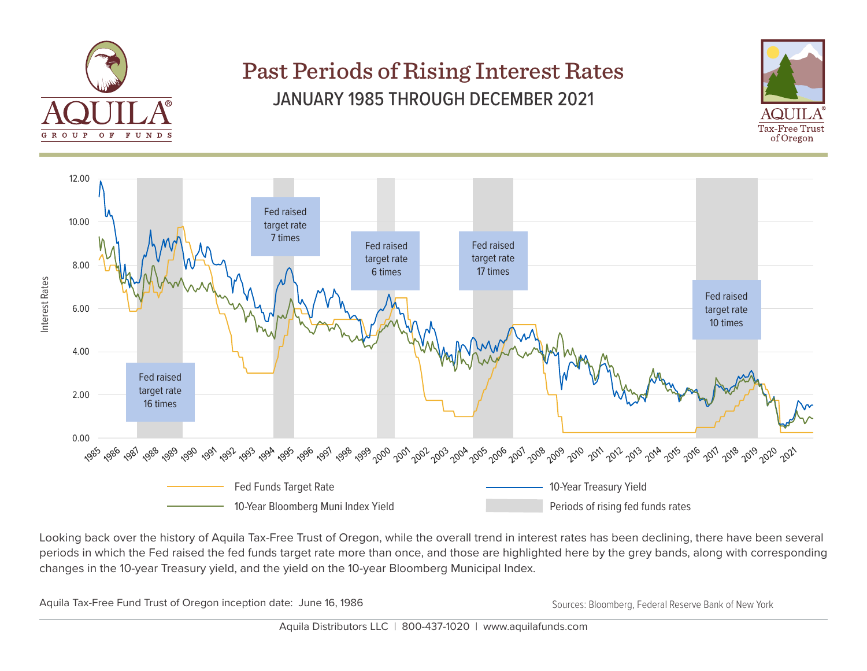

## Past Periods of Rising Interest Rates JANUARY 1985 THROUGH DECEMBER 2021





Looking back over the history of Aquila Tax-Free Trust of Oregon, while the overall trend in interest rates has been declining, there have been several periods in which the Fed raised the fed funds target rate more than once, and those are highlighted here by the grey bands, along with corresponding changes in the 10-year Treasury yield, and the yield on the 10-year Bloomberg Municipal Index.

Aquila Tax-Free Fund Trust of Oregon inception date: June 16, 1986 Sources: Bloomberg, Federal Reserve Bank of New York